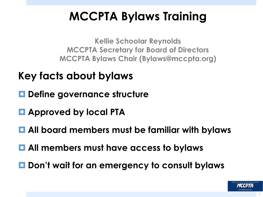## **MCCPTA Bylaws Training**

**Kellie Schoolar Reynolds MCCPTA Secretary for Board of Directors MCCPTA Bylaws Chair (Bylaws@mccpta.org)**

- **Key facts about bylaws**
- **□ Define governance structure**
- ¤ **Approved by local PTA**
- All board members must be familiar with bylaws
- $\blacksquare$  **All members must have access to bylaws**
- Don't wait for an emergency to consult bylaws



1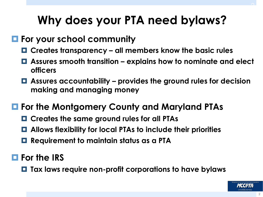## **Why does your PTA need bylaws?**

#### ¤ **For your school community**

- ¤ **Creates transparency all members know the basic rules**
- ¤ **Assures smooth transition explains how to nominate and elect officers**
- ¤ **Assures accountability provides the ground rules for decision making and managing money**

#### ¤ **For the Montgomery County and Maryland PTAs**

- ¤ **Creates the same ground rules for all PTAs**
- ¤ **Allows flexibility for local PTAs to include their priorities**
- ¤ **Requirement to maintain status as a PTA**

#### ¤ **For the IRS**

¤ **Tax laws require non-profit corporations to have bylaws**

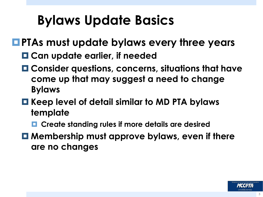# **Bylaws Update Basics**

### ¤**PTAs must update bylaws every three years**

- ¤ **Can update earlier, if needed**
- ¤ **Consider questions, concerns, situations that have come up that may suggest a need to change Bylaws**

#### ¤ **Keep level of detail similar to MD PTA bylaws template**

- ¤ **Create standing rules if more details are desired**
- Membership must approve bylaws, even if there **are no changes**

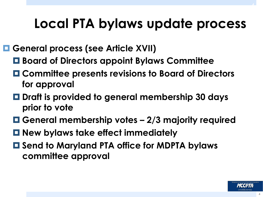# **Local PTA bylaws update process**

¤ **General process (see Article XVII)** 

- ¤ **Board of Directors appoint Bylaws Committee**
- ¤ **Committee presents revisions to Board of Directors for approval**
- ¤ **Draft is provided to general membership 30 days prior to vote**
- ¤ **General membership votes 2/3 majority required**
- ¤ **New bylaws take effect immediately**
- ¤ **Send to Maryland PTA office for MDPTA bylaws committee approval**

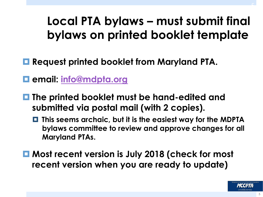## **Local PTA bylaws – must submit final bylaws on printed booklet template**

- ¤ **Request printed booklet from Maryland PTA.**
- ¤ **email: info@mdpta.org**
- ¤ **The printed booklet must be hand-edited and submitted via postal mail (with 2 copies).** 
	- ¤ **This seems archaic, but it is the easiest way for the MDPTA bylaws committee to review and approve changes for all Maryland PTAs.**
- ¤ **Most recent version is July 2018 (check for most recent version when you are ready to update)**

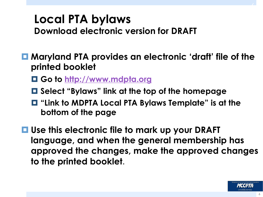# **Local PTA bylaws Download electronic version for DRAFT**

¤ **Maryland PTA provides an electronic 'draft' file of the printed booklet**

- ¤ **Go to http://www.mdpta.org**
- ¤ **Select "Bylaws" link at the top of the homepage**
- ¤ **"Link to MDPTA Local PTA Bylaws Template" is at the bottom of the page**
- **□ Use this electronic file to mark up your DRAFT language, and when the general membership has approved the changes, make the approved changes to the printed booklet.**

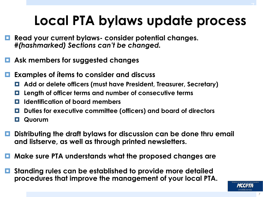# **Local PTA bylaws update process**

- ¤ **Read your current bylaws- consider potential changes.**  *#(hashmarked) Sections can't be changed.*
- ¤ **Ask members for suggested changes**
- ¤ **Examples of ítems to consider and discuss**
	- ¤ **Add or delete officers (must have President, Treasurer, Secretary)**
	- ¤ **Length of officer terms and number of consecutive terms**
	- ¤ **Identification of board members**
	- ¤ **Duties for executive committee (officers) and board of directors**

¤ **Quorum** 

- ¤ **Distributing the draft bylaws for discussion can be done thru email and listserve, as well as through printed newsletters.**
- ¤ **Make sure PTA understands what the proposed changes are**
- ¤ **Standing rules can be established to provide more detailed procedures that improve the management of your local PTA.**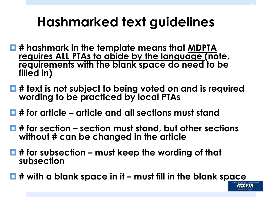# **Hashmarked text guidelines**

- ¤ **# hashmark in the template means that MDPTA requires ALL PTAs to abide by the language (note, requirements with the blank space do need to be filled in)**
- **# text is not subject to being voted on and is required wording to be practiced by local PTAs**
- ¤ **# for article article and all sections must stand**
- ¤ **# for section section must stand, but other sections without # can be changed in the article**
- # for subsection must keep the wording of that **subsection**
- ¤ **# with a blank space in it must fill in the blank space**

 $L$ (de) $L$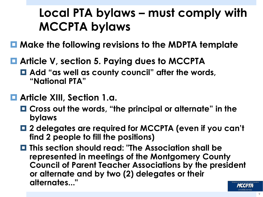## **Local PTA bylaws – must comply with MCCPTA bylaws**

- ¤ **Make the following revisions to the MDPTA template**
- Article V, section 5. Paying dues to MCCPTA
	- Add "as well as county council" after the words, **"National PTA"**
- ¤ **Article XIII, Section 1.a.** 
	- ¤ **Cross out the words, "the principal or alternate" in the bylaws**
	- ¤ **2 delegates are required for MCCPTA (even if you can't find 2 people to fill the positions)**
	- ¤ **This section should read: "The Association shall be represented in meetings of the Montgomery County Council of Parent Teacher Associations by the president or alternate and by two (2) delegates or their alternates..."**  *ИССРТА*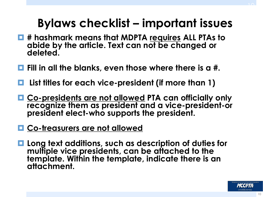## **Bylaws checklist – important issues**

- ¤ **# hashmark means that MDPTA requires ALL PTAs to abide by the article. Text can not be changed or deleted.**
- ¤ **Fill in all the blanks, even those where there is a #.**
- ¤ **List titles for each vice-president (if more than 1)**
- ¤ **Co-presidents are not allowed PTA can officially only recognize them as president and a vice-president-or president elect-who supports the president.**
- **□ Co-treasurers are not allowed**
- Long text additions, such as description of duties for **multiple vice presidents, can be attached to the template. Within the template, indicate there is an attachment.**

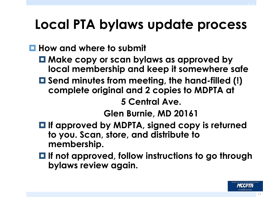# **Local PTA bylaws update process**

#### ¤ **How and where to submit**

- ¤ **Make copy or scan bylaws as approved by local membership and keep it somewhere safe**
- ¤ **Send minutes from meeting, the hand-filled (!) complete original and 2 copies to MDPTA at**

**5 Central Ave.** 

**Glen Burnie, MD 20161** 

- ¤ **If approved by MDPTA, signed copy is returned to you. Scan, store, and distribute to membership.**
- ¤ **If not approved, follow instructions to go through bylaws review again.**